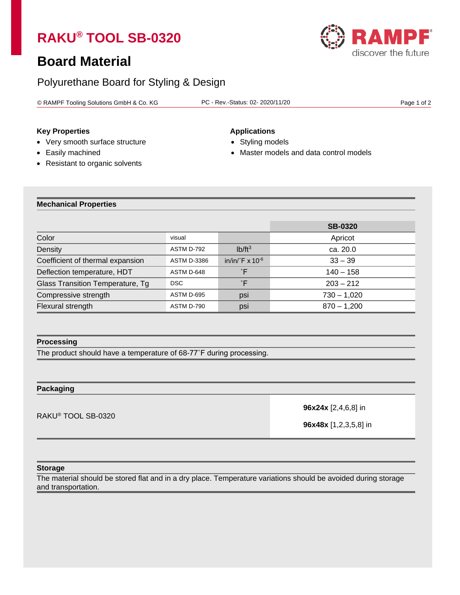# **RAKU® TOOL SB-0320**

# **Board Material**

# Polyurethane Board for Styling & Design

© RAMPF Tooling Solutions GmbH & Co. KG PC - Rev.-Status: 02- 2020/11/20 Page 1 of 2

# **Key Properties Applications**

- Very smooth surface structure Styling models
- 
- 
- 
- Easily machined Master models and data control models
- Resistant to organic solvents

### **Mechanical Properties**

|                                  |                    |                                    | <b>SB-0320</b> |
|----------------------------------|--------------------|------------------------------------|----------------|
| Color                            | visual             |                                    | Apricot        |
| Density                          | ASTM D-792         | $Ib/ft^3$                          | ca. 20.0       |
| Coefficient of thermal expansion | <b>ASTM D-3386</b> | in/in/ $\mathsf{F} \times 10^{-6}$ | $33 - 39$      |
| Deflection temperature, HDT      | ASTM D-648         | $\degree$ F                        | $140 - 158$    |
| Glass Transition Temperature, Tg | DSC.               | $\degree$ F                        | $203 - 212$    |
| Compressive strength             | ASTM D-695         | psi                                | $730 - 1,020$  |
| Flexural strength                | ASTM D-790         | psi                                | $870 - 1.200$  |

### **Processing**

The product should have a temperature of 68-77˚F during processing.

# **Packaging**

RAKU® TOOL SB-0320

**96x24x** [2,4,6,8] in

**96x48x** [1,2,3,5,8] in

#### **Storage**

The material should be stored flat and in a dry place. Temperature variations should be avoided during storage and transportation.